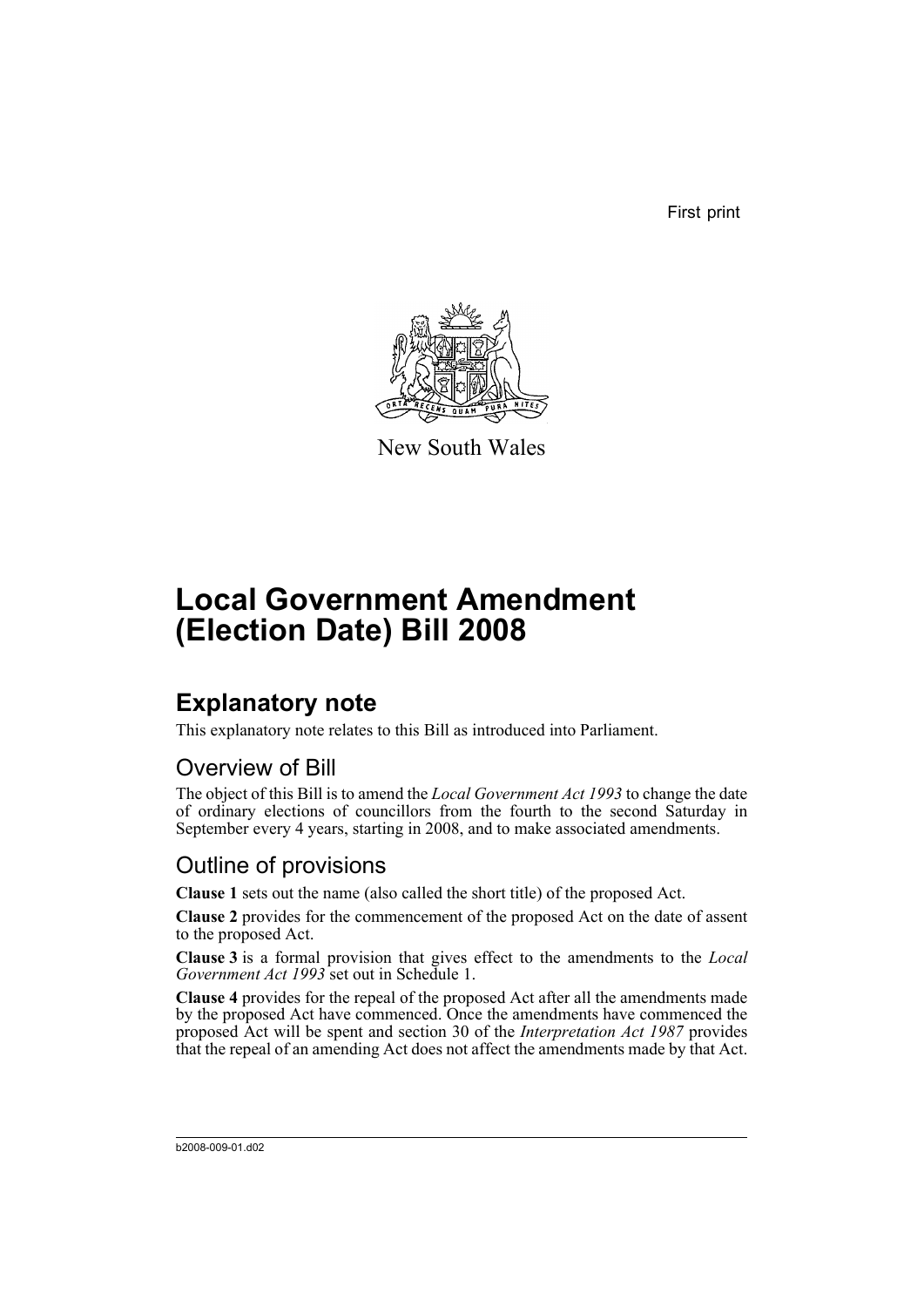First print



New South Wales

# **Local Government Amendment (Election Date) Bill 2008**

## **Explanatory note**

This explanatory note relates to this Bill as introduced into Parliament.

### Overview of Bill

The object of this Bill is to amend the *Local Government Act 1993* to change the date of ordinary elections of councillors from the fourth to the second Saturday in September every 4 years, starting in 2008, and to make associated amendments.

### Outline of provisions

**Clause 1** sets out the name (also called the short title) of the proposed Act.

**Clause 2** provides for the commencement of the proposed Act on the date of assent to the proposed Act.

**Clause 3** is a formal provision that gives effect to the amendments to the *Local Government Act 1993* set out in Schedule 1.

**Clause 4** provides for the repeal of the proposed Act after all the amendments made by the proposed Act have commenced. Once the amendments have commenced the proposed Act will be spent and section 30 of the *Interpretation Act 1987* provides that the repeal of an amending Act does not affect the amendments made by that Act.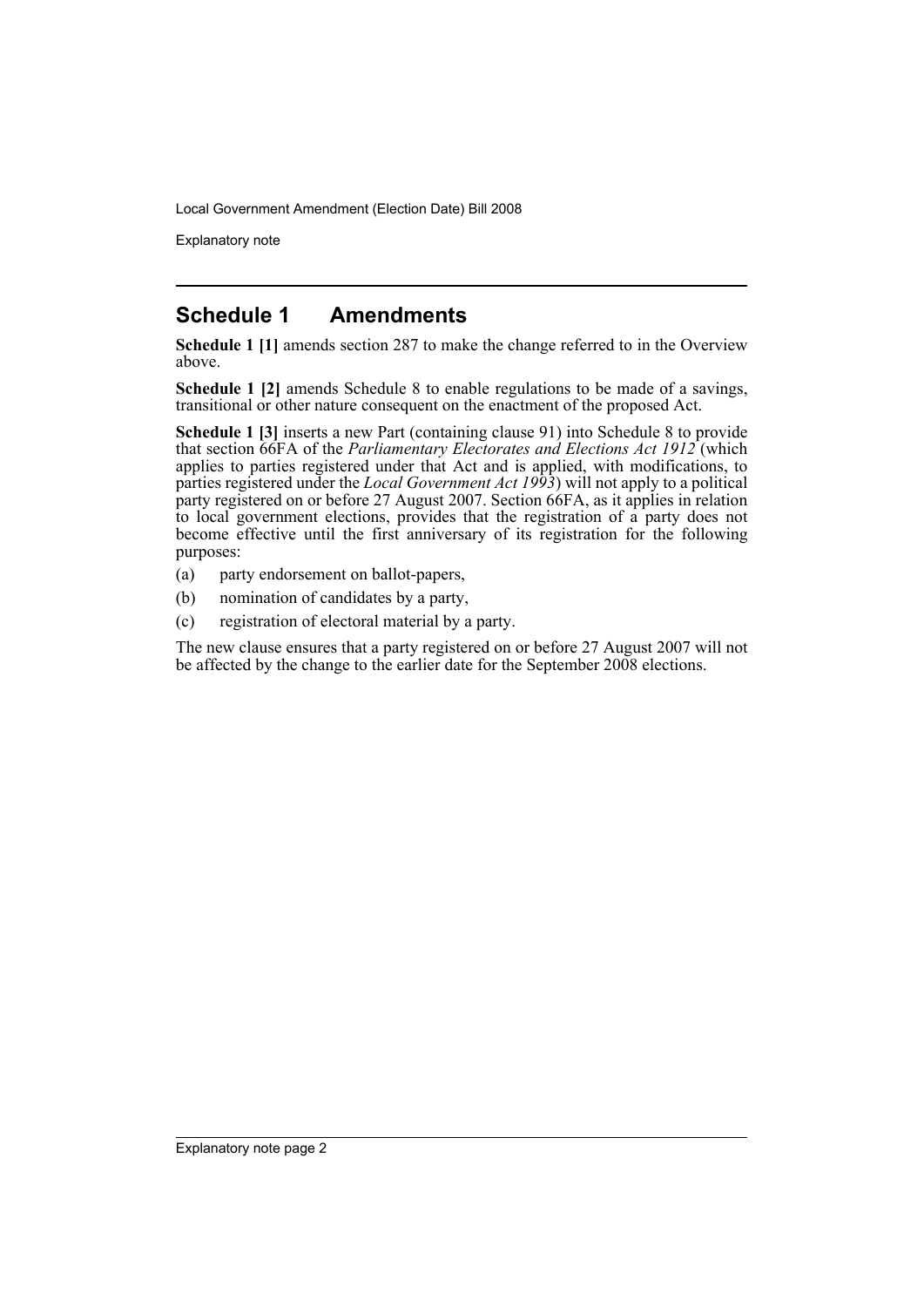Explanatory note

#### **Schedule 1 Amendments**

**Schedule 1 [1]** amends section 287 to make the change referred to in the Overview above.

**Schedule 1 [2]** amends Schedule 8 to enable regulations to be made of a savings, transitional or other nature consequent on the enactment of the proposed Act.

**Schedule 1 [3]** inserts a new Part (containing clause 91) into Schedule 8 to provide that section 66FA of the *Parliamentary Electorates and Elections Act 1912* (which applies to parties registered under that Act and is applied, with modifications, to parties registered under the *Local Government Act 1993*) will not apply to a political party registered on or before 27 August 2007. Section 66FA, as it applies in relation to local government elections, provides that the registration of a party does not become effective until the first anniversary of its registration for the following purposes:

- (a) party endorsement on ballot-papers,
- (b) nomination of candidates by a party,
- (c) registration of electoral material by a party.

The new clause ensures that a party registered on or before 27 August 2007 will not be affected by the change to the earlier date for the September 2008 elections.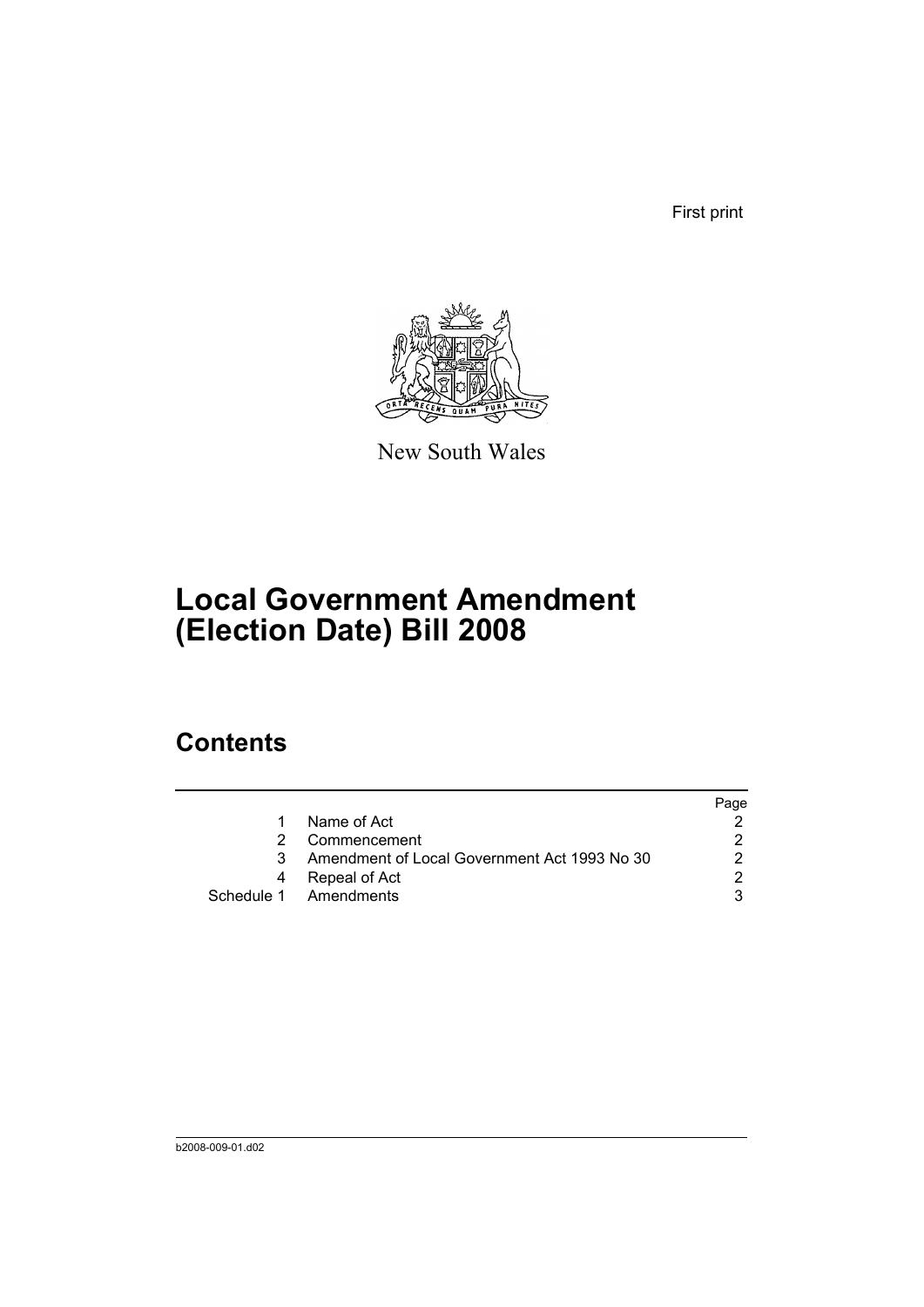First print



New South Wales

# **Local Government Amendment (Election Date) Bill 2008**

## **Contents**

|                                              | Page |
|----------------------------------------------|------|
| Name of Act                                  |      |
| Commencement                                 |      |
| Amendment of Local Government Act 1993 No 30 |      |
| Repeal of Act                                |      |
| Schedule 1 Amendments                        |      |
|                                              |      |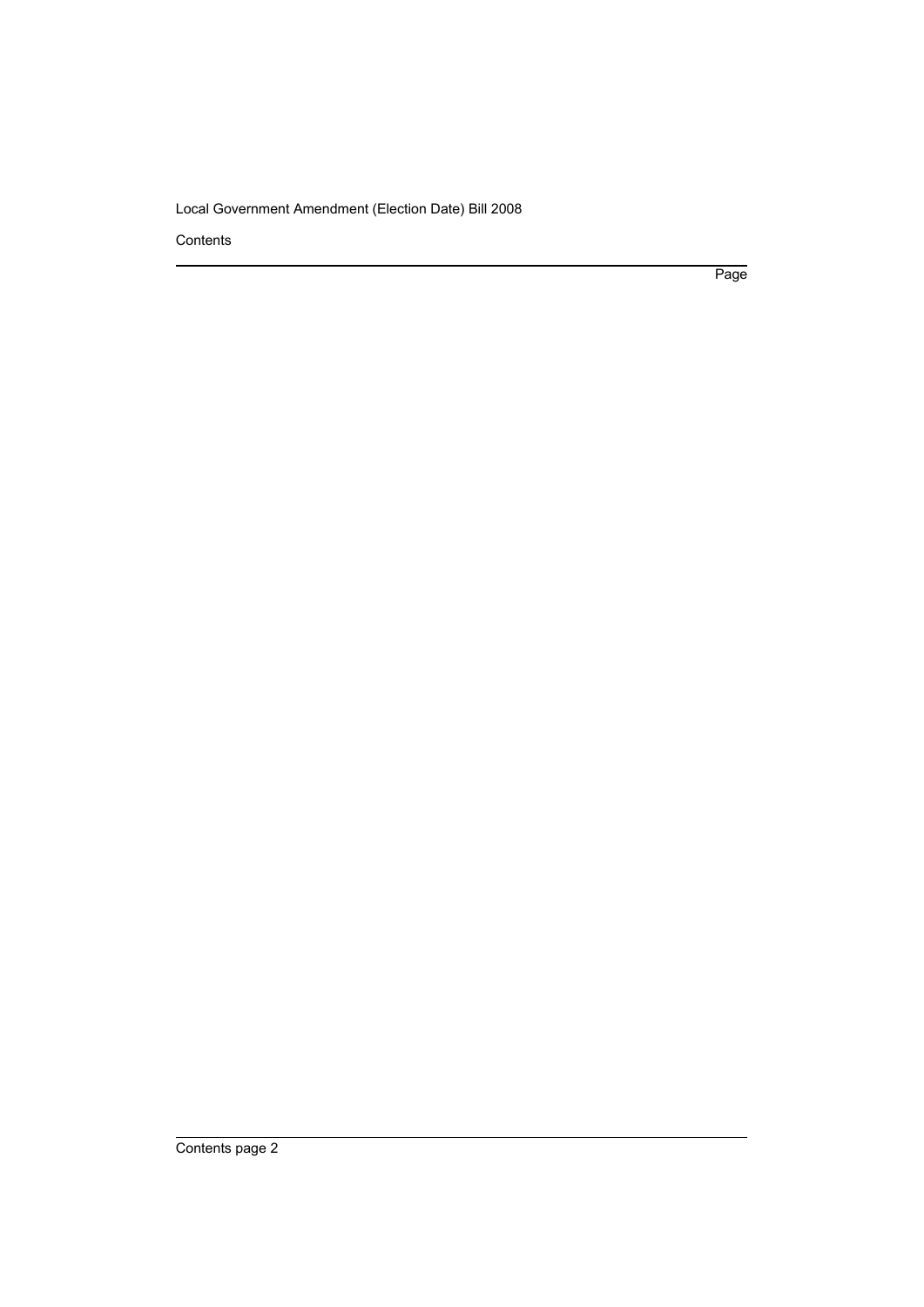Contents

Page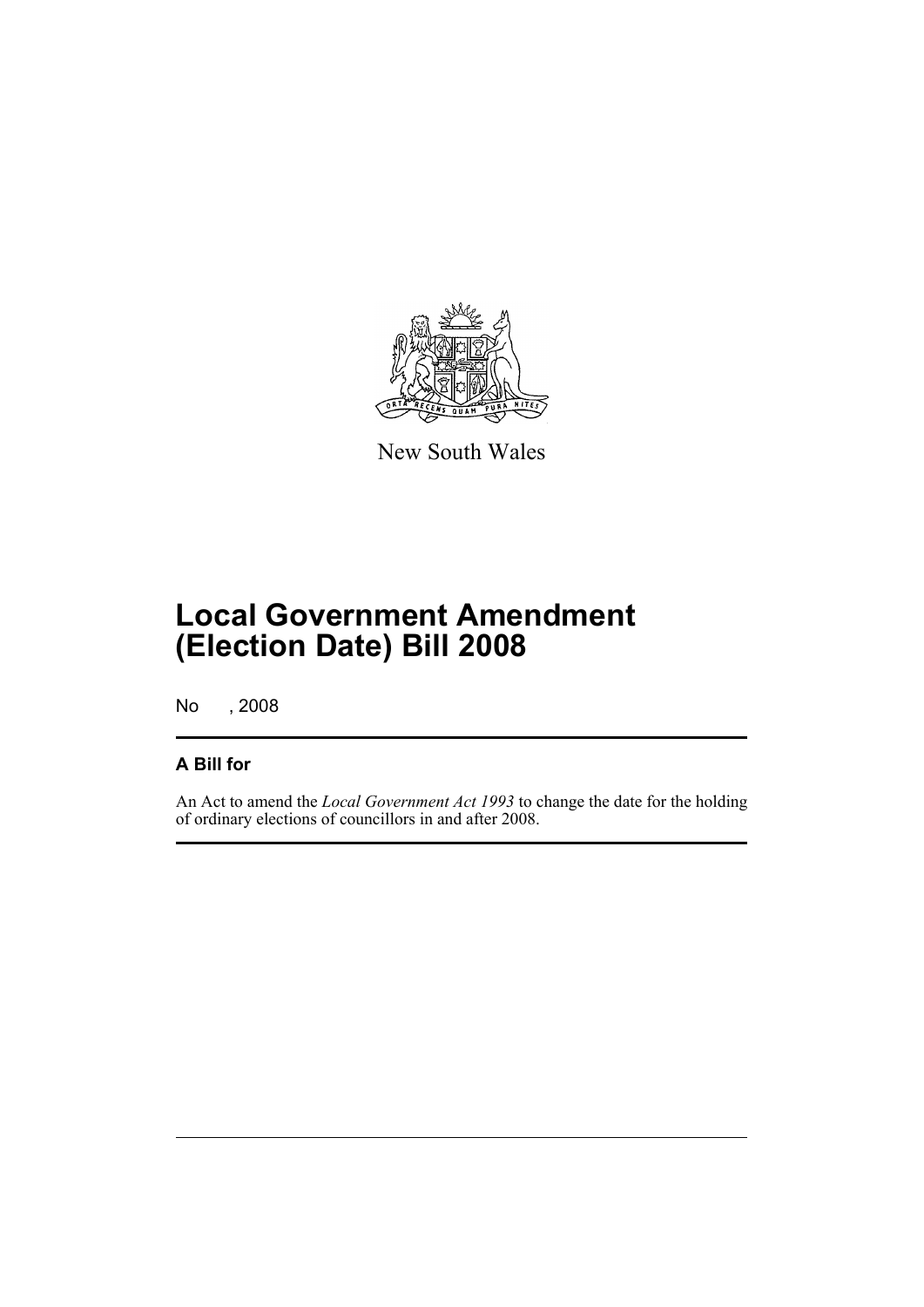

New South Wales

## **Local Government Amendment (Election Date) Bill 2008**

No , 2008

#### **A Bill for**

An Act to amend the *Local Government Act 1993* to change the date for the holding of ordinary elections of councillors in and after 2008.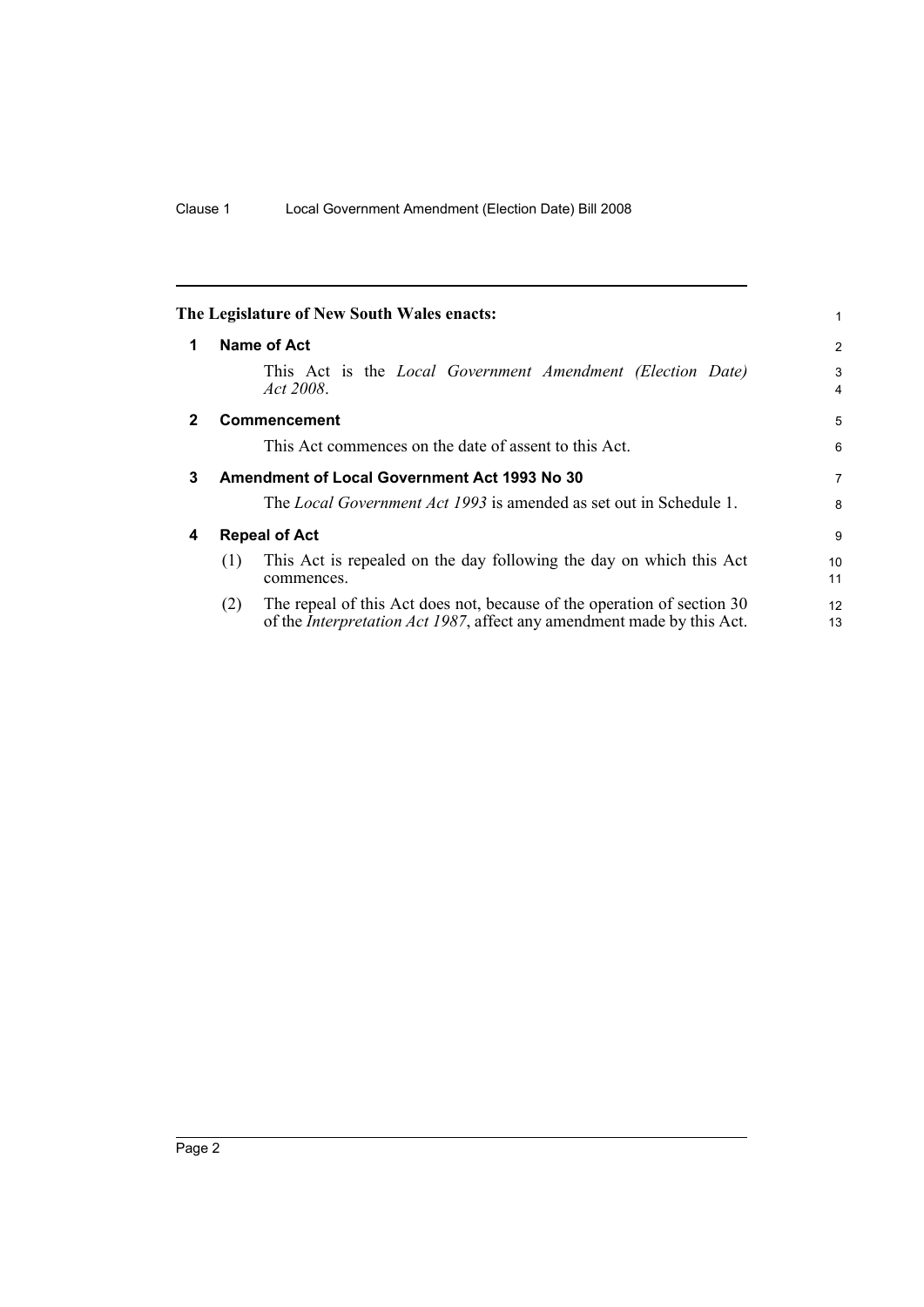<span id="page-5-3"></span><span id="page-5-2"></span><span id="page-5-1"></span><span id="page-5-0"></span>

|   | The Legislature of New South Wales enacts:                                                                                                                       | 1                   |  |  |
|---|------------------------------------------------------------------------------------------------------------------------------------------------------------------|---------------------|--|--|
| 1 | Name of Act                                                                                                                                                      |                     |  |  |
|   | This Act is the <i>Local Government Amendment (Election Date)</i><br>Act 2008.                                                                                   | 3<br>$\overline{4}$ |  |  |
| 2 | <b>Commencement</b>                                                                                                                                              | 5                   |  |  |
|   | This Act commences on the date of assent to this Act.                                                                                                            | 6                   |  |  |
| 3 | <b>Amendment of Local Government Act 1993 No 30</b>                                                                                                              |                     |  |  |
|   | The <i>Local Government Act 1993</i> is amended as set out in Schedule 1.                                                                                        | 8                   |  |  |
| 4 | <b>Repeal of Act</b>                                                                                                                                             |                     |  |  |
|   | This Act is repealed on the day following the day on which this Act<br>(1)<br>commences.                                                                         | 10<br>11            |  |  |
|   | The repeal of this Act does not, because of the operation of section 30<br>(2)<br>of the <i>Interpretation Act 1987</i> , affect any amendment made by this Act. | 12<br>13            |  |  |
|   |                                                                                                                                                                  |                     |  |  |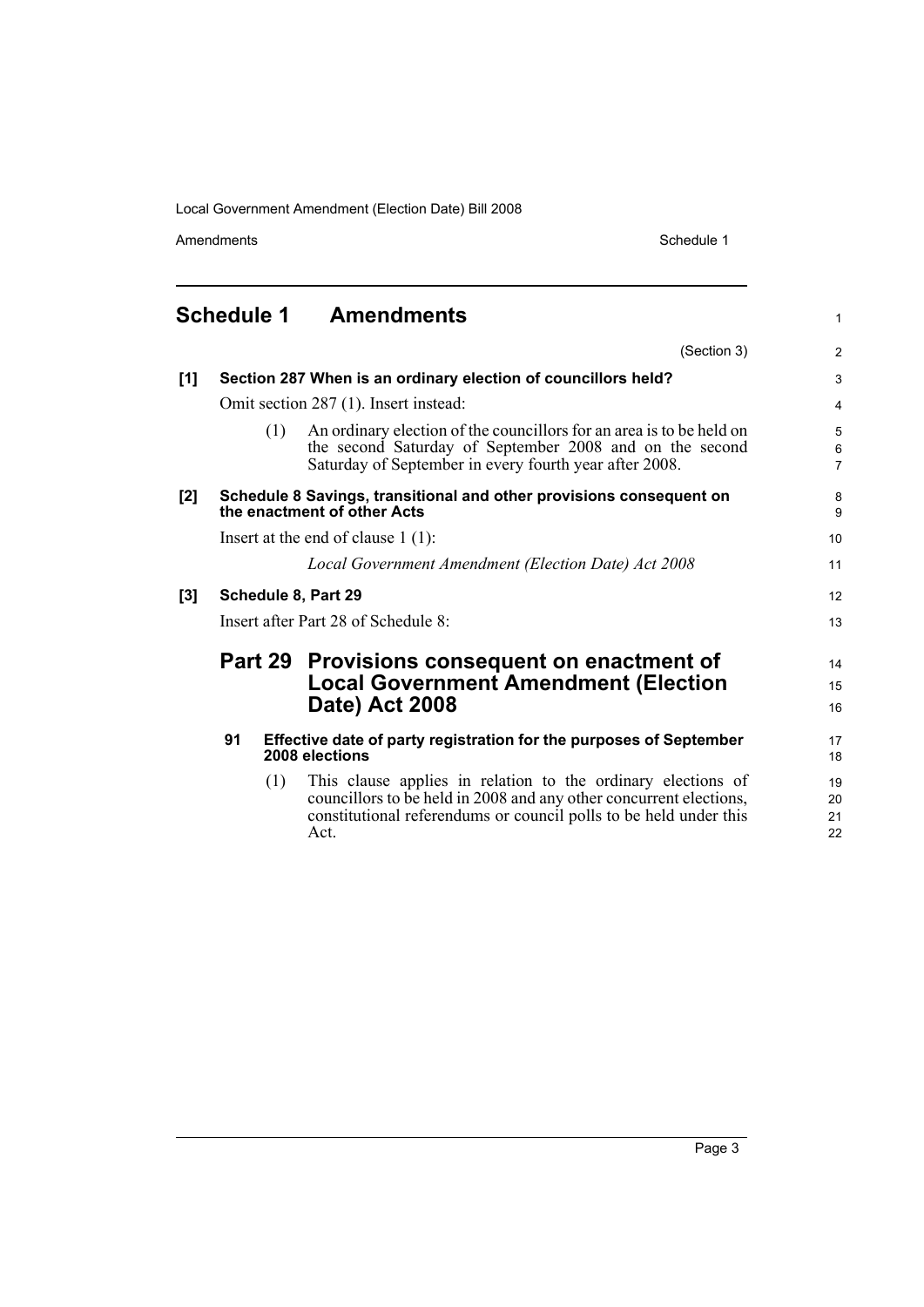Amendments Schedule 1

1

### <span id="page-6-0"></span>**Schedule 1 Amendments**

|     |                                                                                                    |     | (Section 3)                                                                                                                                                                                                     | $\overline{2}$               |
|-----|----------------------------------------------------------------------------------------------------|-----|-----------------------------------------------------------------------------------------------------------------------------------------------------------------------------------------------------------------|------------------------------|
| [1] |                                                                                                    |     | Section 287 When is an ordinary election of councillors held?                                                                                                                                                   | 3                            |
|     | Omit section 287 (1). Insert instead:                                                              |     |                                                                                                                                                                                                                 | $\overline{4}$               |
|     |                                                                                                    | (1) | An ordinary election of the councillors for an area is to be held on<br>the second Saturday of September 2008 and on the second<br>Saturday of September in every fourth year after 2008.                       | 5<br>$\,6$<br>$\overline{7}$ |
| [2] | Schedule 8 Savings, transitional and other provisions consequent on<br>the enactment of other Acts |     |                                                                                                                                                                                                                 | 8<br>9                       |
|     | Insert at the end of clause $1(1)$ :                                                               |     |                                                                                                                                                                                                                 | 10                           |
|     |                                                                                                    |     | Local Government Amendment (Election Date) Act 2008                                                                                                                                                             | 11                           |
| [3] | Schedule 8, Part 29                                                                                |     |                                                                                                                                                                                                                 | 12                           |
|     | Insert after Part 28 of Schedule 8:                                                                |     |                                                                                                                                                                                                                 | 13                           |
|     |                                                                                                    |     | Part 29 Provisions consequent on enactment of<br><b>Local Government Amendment (Election</b><br><b>Date) Act 2008</b>                                                                                           | 14<br>15<br>16               |
|     | 91                                                                                                 |     | Effective date of party registration for the purposes of September<br>2008 elections                                                                                                                            | 17<br>18                     |
|     |                                                                                                    | (1) | This clause applies in relation to the ordinary elections of<br>councillors to be held in 2008 and any other concurrent elections,<br>constitutional referendums or council polls to be held under this<br>Act. | 19<br>20<br>21<br>22         |